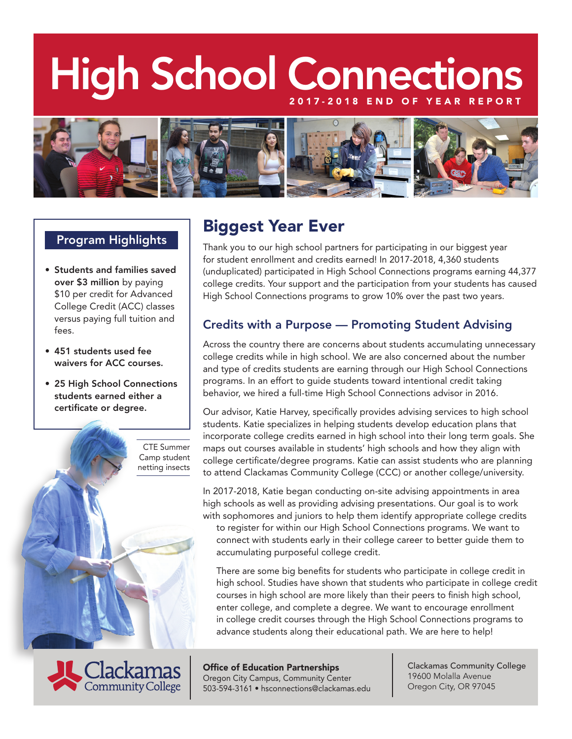# High School Connection



### Program Highlights

- • Students and families saved over \$3 million by paying \$10 per credit for Advanced College Credit (ACC) classes versus paying full tuition and fees.
- • 451 students used fee waivers for ACC courses.
- 25 High School Connections students earned either a certificate or degree.

CTE Summer Camp student netting insects



# Biggest Year Ever

Thank you to our high school partners for participating in our biggest year for student enrollment and credits earned! In 2017-2018, 4,360 students (unduplicated) participated in High School Connections programs earning 44,377 college credits. Your support and the participation from your students has caused High School Connections programs to grow 10% over the past two years.

## Credits with a Purpose — Promoting Student Advising

Across the country there are concerns about students accumulating unnecessary college credits while in high school. We are also concerned about the number and type of credits students are earning through our High School Connections programs. In an effort to guide students toward intentional credit taking behavior, we hired a full-time High School Connections advisor in 2016.

Our advisor, Katie Harvey, specifically provides advising services to high school students. Katie specializes in helping students develop education plans that incorporate college credits earned in high school into their long term goals. She maps out courses available in students' high schools and how they align with college certificate/degree programs. Katie can assist students who are planning to attend Clackamas Community College (CCC) or another college/university.

In 2017-2018, Katie began conducting on-site advising appointments in area high schools as well as providing advising presentations. Our goal is to work with sophomores and juniors to help them identify appropriate college credits

to register for within our High School Connections programs. We want to connect with students early in their college career to better guide them to accumulating purposeful college credit.

There are some big benefits for students who participate in college credit in high school. Studies have shown that students who participate in college credit courses in high school are more likely than their peers to finish high school, enter college, and complete a degree. We want to encourage enrollment in college credit courses through the High School Connections programs to advance students along their educational path. We are here to help!

Office of Education Partnerships Oregon City Campus, Community Center 503-594-3161 • hsconnections@clackamas.edu Clackamas Community College 19600 Molalla Avenue Oregon City, OR 97045